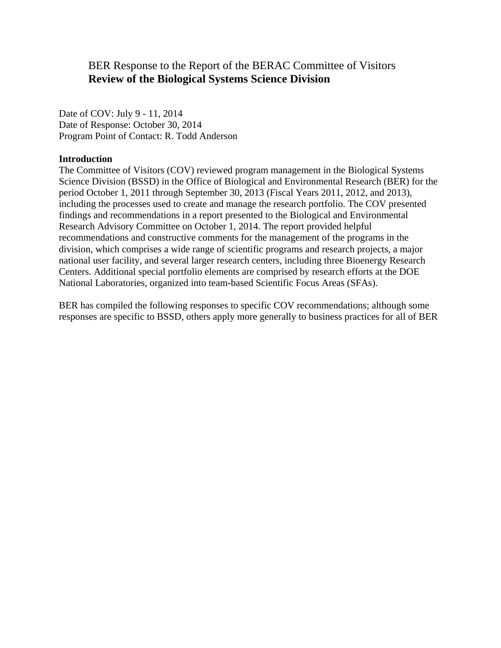## BER Response to the Report of the BERAC Committee of Visitors **Review of the Biological Systems Science Division**

Date of COV: July 9 - 11, 2014 Date of Response: October 30, 2014 Program Point of Contact: R. Todd Anderson

## **Introduction**

The Committee of Visitors (COV) reviewed program management in the Biological Systems Science Division (BSSD) in the Office of Biological and Environmental Research (BER) for the period October 1, 2011 through September 30, 2013 (Fiscal Years 2011, 2012, and 2013), including the processes used to create and manage the research portfolio. The COV presented findings and recommendations in a report presented to the Biological and Environmental Research Advisory Committee on October 1, 2014. The report provided helpful recommendations and constructive comments for the management of the programs in the division, which comprises a wide range of scientific programs and research projects, a major national user facility, and several larger research centers, including three Bioenergy Research Centers. Additional special portfolio elements are comprised by research efforts at the DOE National Laboratories, organized into team-based Scientific Focus Areas (SFAs).

BER has compiled the following responses to specific COV recommendations; although some responses are specific to BSSD, others apply more generally to business practices for all of BER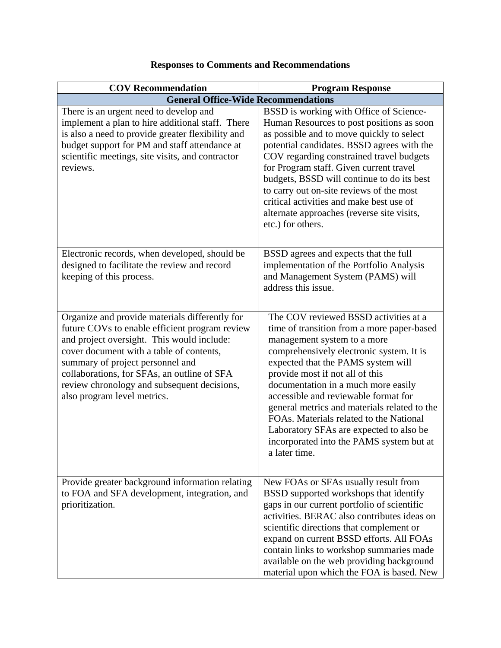| <b>COV Recommendation</b>                                                                                                                                                                                                                                                                                                                                   | <b>Program Response</b>                                                                                                                                                                                                                                                                                                                                                                                                                                                                                                   |  |
|-------------------------------------------------------------------------------------------------------------------------------------------------------------------------------------------------------------------------------------------------------------------------------------------------------------------------------------------------------------|---------------------------------------------------------------------------------------------------------------------------------------------------------------------------------------------------------------------------------------------------------------------------------------------------------------------------------------------------------------------------------------------------------------------------------------------------------------------------------------------------------------------------|--|
| <b>General Office-Wide Recommendations</b>                                                                                                                                                                                                                                                                                                                  |                                                                                                                                                                                                                                                                                                                                                                                                                                                                                                                           |  |
| There is an urgent need to develop and<br>implement a plan to hire additional staff. There<br>is also a need to provide greater flexibility and<br>budget support for PM and staff attendance at<br>scientific meetings, site visits, and contractor<br>reviews.                                                                                            | BSSD is working with Office of Science-<br>Human Resources to post positions as soon<br>as possible and to move quickly to select<br>potential candidates. BSSD agrees with the<br>COV regarding constrained travel budgets<br>for Program staff. Given current travel<br>budgets, BSSD will continue to do its best<br>to carry out on-site reviews of the most<br>critical activities and make best use of<br>alternate approaches (reverse site visits,<br>etc.) for others.                                           |  |
| Electronic records, when developed, should be<br>designed to facilitate the review and record<br>keeping of this process.                                                                                                                                                                                                                                   | BSSD agrees and expects that the full<br>implementation of the Portfolio Analysis<br>and Management System (PAMS) will<br>address this issue.                                                                                                                                                                                                                                                                                                                                                                             |  |
| Organize and provide materials differently for<br>future COVs to enable efficient program review<br>and project oversight. This would include:<br>cover document with a table of contents,<br>summary of project personnel and<br>collaborations, for SFAs, an outline of SFA<br>review chronology and subsequent decisions,<br>also program level metrics. | The COV reviewed BSSD activities at a<br>time of transition from a more paper-based<br>management system to a more<br>comprehensively electronic system. It is<br>expected that the PAMS system will<br>provide most if not all of this<br>documentation in a much more easily<br>accessible and reviewable format for<br>general metrics and materials related to the<br>FOAs. Materials related to the National<br>Laboratory SFAs are expected to also be<br>incorporated into the PAMS system but at<br>a later time. |  |
| Provide greater background information relating<br>to FOA and SFA development, integration, and<br>prioritization.                                                                                                                                                                                                                                          | New FOAs or SFAs usually result from<br>BSSD supported workshops that identify<br>gaps in our current portfolio of scientific<br>activities. BERAC also contributes ideas on<br>scientific directions that complement or<br>expand on current BSSD efforts. All FOAs<br>contain links to workshop summaries made<br>available on the web providing background<br>material upon which the FOA is based. New                                                                                                                |  |

## **Responses to Comments and Recommendations**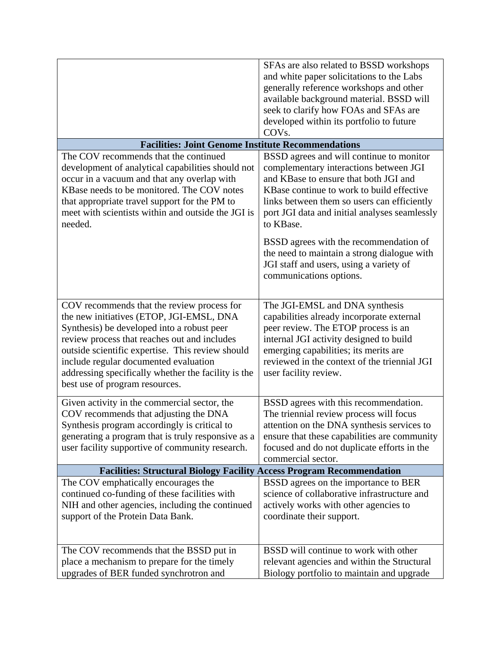|                                                                                                                                                                                                                                                                                                                                                                            | SFAs are also related to BSSD workshops<br>and white paper solicitations to the Labs<br>generally reference workshops and other<br>available background material. BSSD will<br>seek to clarify how FOAs and SFAs are<br>developed within its portfolio to future<br>COV <sub>s.</sub> |
|----------------------------------------------------------------------------------------------------------------------------------------------------------------------------------------------------------------------------------------------------------------------------------------------------------------------------------------------------------------------------|---------------------------------------------------------------------------------------------------------------------------------------------------------------------------------------------------------------------------------------------------------------------------------------|
| <b>Facilities: Joint Genome Institute Recommendations</b>                                                                                                                                                                                                                                                                                                                  |                                                                                                                                                                                                                                                                                       |
| The COV recommends that the continued<br>development of analytical capabilities should not<br>occur in a vacuum and that any overlap with<br>KBase needs to be monitored. The COV notes<br>that appropriate travel support for the PM to<br>meet with scientists within and outside the JGI is<br>needed.                                                                  | BSSD agrees and will continue to monitor<br>complementary interactions between JGI<br>and KBase to ensure that both JGI and<br>KBase continue to work to build effective<br>links between them so users can efficiently<br>port JGI data and initial analyses seamlessly<br>to KBase. |
|                                                                                                                                                                                                                                                                                                                                                                            | BSSD agrees with the recommendation of<br>the need to maintain a strong dialogue with<br>JGI staff and users, using a variety of<br>communications options.                                                                                                                           |
| COV recommends that the review process for<br>the new initiatives (ETOP, JGI-EMSL, DNA<br>Synthesis) be developed into a robust peer<br>review process that reaches out and includes<br>outside scientific expertise. This review should<br>include regular documented evaluation<br>addressing specifically whether the facility is the<br>best use of program resources. | The JGI-EMSL and DNA synthesis<br>capabilities already incorporate external<br>peer review. The ETOP process is an<br>internal JGI activity designed to build<br>emerging capabilities; its merits are<br>reviewed in the context of the triennial JGI<br>user facility review.       |
| Given activity in the commercial sector, the<br>COV recommends that adjusting the DNA<br>Synthesis program accordingly is critical to<br>generating a program that is truly responsive as a<br>user facility supportive of community research.                                                                                                                             | BSSD agrees with this recommendation.<br>The triennial review process will focus<br>attention on the DNA synthesis services to<br>ensure that these capabilities are community<br>focused and do not duplicate efforts in the<br>commercial sector.                                   |
| <b>Facilities: Structural Biology Facility Access Program Recommendation</b>                                                                                                                                                                                                                                                                                               |                                                                                                                                                                                                                                                                                       |
| The COV emphatically encourages the<br>continued co-funding of these facilities with<br>NIH and other agencies, including the continued<br>support of the Protein Data Bank.                                                                                                                                                                                               | BSSD agrees on the importance to BER<br>science of collaborative infrastructure and<br>actively works with other agencies to<br>coordinate their support.                                                                                                                             |
| The COV recommends that the BSSD put in<br>place a mechanism to prepare for the timely<br>upgrades of BER funded synchrotron and                                                                                                                                                                                                                                           | BSSD will continue to work with other<br>relevant agencies and within the Structural<br>Biology portfolio to maintain and upgrade                                                                                                                                                     |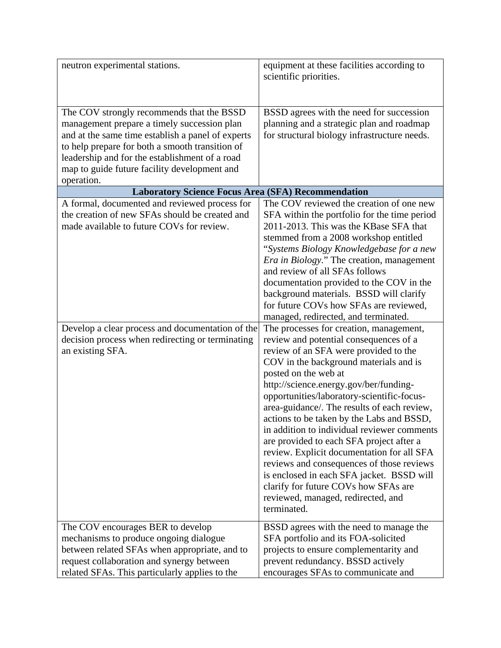| neutron experimental stations.                                                                                                                                                                                                                                                                                   | equipment at these facilities according to<br>scientific priorities.                                                                                                                                                                                                                                                                                                                                                                                                                                                                                                                                                                                                                                             |
|------------------------------------------------------------------------------------------------------------------------------------------------------------------------------------------------------------------------------------------------------------------------------------------------------------------|------------------------------------------------------------------------------------------------------------------------------------------------------------------------------------------------------------------------------------------------------------------------------------------------------------------------------------------------------------------------------------------------------------------------------------------------------------------------------------------------------------------------------------------------------------------------------------------------------------------------------------------------------------------------------------------------------------------|
| The COV strongly recommends that the BSSD<br>management prepare a timely succession plan<br>and at the same time establish a panel of experts<br>to help prepare for both a smooth transition of<br>leadership and for the establishment of a road<br>map to guide future facility development and<br>operation. | BSSD agrees with the need for succession<br>planning and a strategic plan and roadmap<br>for structural biology infrastructure needs.                                                                                                                                                                                                                                                                                                                                                                                                                                                                                                                                                                            |
| <b>Laboratory Science Focus Area (SFA) Recommendation</b>                                                                                                                                                                                                                                                        |                                                                                                                                                                                                                                                                                                                                                                                                                                                                                                                                                                                                                                                                                                                  |
| A formal, documented and reviewed process for<br>the creation of new SFAs should be created and<br>made available to future COVs for review.                                                                                                                                                                     | The COV reviewed the creation of one new<br>SFA within the portfolio for the time period<br>2011-2013. This was the KBase SFA that<br>stemmed from a 2008 workshop entitled<br>"Systems Biology Knowledgebase for a new<br><i>Era in Biology.</i> " The creation, management<br>and review of all SFAs follows<br>documentation provided to the COV in the<br>background materials. BSSD will clarify<br>for future COVs how SFAs are reviewed,                                                                                                                                                                                                                                                                  |
|                                                                                                                                                                                                                                                                                                                  | managed, redirected, and terminated.                                                                                                                                                                                                                                                                                                                                                                                                                                                                                                                                                                                                                                                                             |
| Develop a clear process and documentation of the<br>decision process when redirecting or terminating<br>an existing SFA.                                                                                                                                                                                         | The processes for creation, management,<br>review and potential consequences of a<br>review of an SFA were provided to the<br>COV in the background materials and is<br>posted on the web at<br>http://science.energy.gov/ber/funding-<br>opportunities/laboratory-scientific-focus-<br>area-guidance/. The results of each review,<br>actions to be taken by the Labs and BSSD,<br>in addition to individual reviewer comments<br>are provided to each SFA project after a<br>review. Explicit documentation for all SFA<br>reviews and consequences of those reviews<br>is enclosed in each SFA jacket. BSSD will<br>clarify for future COVs how SFAs are<br>reviewed, managed, redirected, and<br>terminated. |
| The COV encourages BER to develop<br>mechanisms to produce ongoing dialogue<br>between related SFAs when appropriate, and to<br>request collaboration and synergy between<br>related SFAs. This particularly applies to the                                                                                      | BSSD agrees with the need to manage the<br>SFA portfolio and its FOA-solicited<br>projects to ensure complementarity and<br>prevent redundancy. BSSD actively<br>encourages SFAs to communicate and                                                                                                                                                                                                                                                                                                                                                                                                                                                                                                              |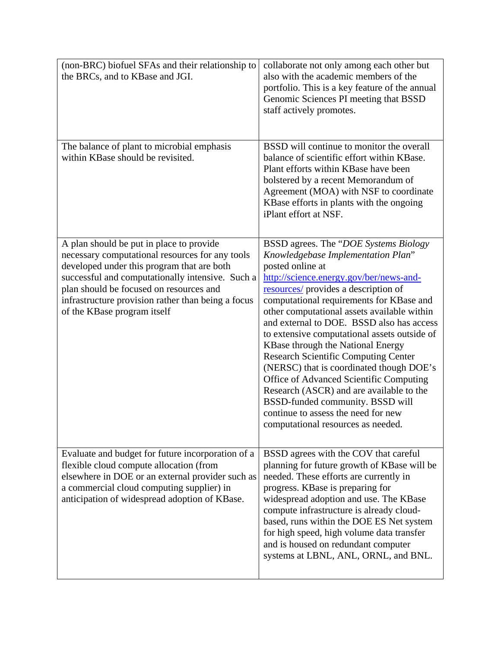| (non-BRC) biofuel SFAs and their relationship to<br>the BRCs, and to KBase and JGI.                                                                                                                                                                                                                                           | collaborate not only among each other but<br>also with the academic members of the<br>portfolio. This is a key feature of the annual<br>Genomic Sciences PI meeting that BSSD<br>staff actively promotes.                                                                                                                                                                                                                                                                                                                                                                                                                                                                                                          |
|-------------------------------------------------------------------------------------------------------------------------------------------------------------------------------------------------------------------------------------------------------------------------------------------------------------------------------|--------------------------------------------------------------------------------------------------------------------------------------------------------------------------------------------------------------------------------------------------------------------------------------------------------------------------------------------------------------------------------------------------------------------------------------------------------------------------------------------------------------------------------------------------------------------------------------------------------------------------------------------------------------------------------------------------------------------|
| The balance of plant to microbial emphasis<br>within KBase should be revisited.                                                                                                                                                                                                                                               | BSSD will continue to monitor the overall<br>balance of scientific effort within KBase.<br>Plant efforts within KBase have been<br>bolstered by a recent Memorandum of<br>Agreement (MOA) with NSF to coordinate<br>KBase efforts in plants with the ongoing<br>iPlant effort at NSF.                                                                                                                                                                                                                                                                                                                                                                                                                              |
| A plan should be put in place to provide<br>necessary computational resources for any tools<br>developed under this program that are both<br>successful and computationally intensive. Such a<br>plan should be focused on resources and<br>infrastructure provision rather than being a focus<br>of the KBase program itself | BSSD agrees. The "DOE Systems Biology<br>Knowledgebase Implementation Plan"<br>posted online at<br>http://science.energy.gov/ber/news-and-<br>resources/ provides a description of<br>computational requirements for KBase and<br>other computational assets available within<br>and external to DOE. BSSD also has access<br>to extensive computational assets outside of<br>KBase through the National Energy<br><b>Research Scientific Computing Center</b><br>(NERSC) that is coordinated though DOE's<br>Office of Advanced Scientific Computing<br>Research (ASCR) and are available to the<br>BSSD-funded community. BSSD will<br>continue to assess the need for new<br>computational resources as needed. |
| Evaluate and budget for future incorporation of a<br>flexible cloud compute allocation (from<br>elsewhere in DOE or an external provider such as<br>a commercial cloud computing supplier) in<br>anticipation of widespread adoption of KBase.                                                                                | BSSD agrees with the COV that careful<br>planning for future growth of KBase will be<br>needed. These efforts are currently in<br>progress. KBase is preparing for<br>widespread adoption and use. The KBase<br>compute infrastructure is already cloud-<br>based, runs within the DOE ES Net system<br>for high speed, high volume data transfer<br>and is housed on redundant computer<br>systems at LBNL, ANL, ORNL, and BNL.                                                                                                                                                                                                                                                                                   |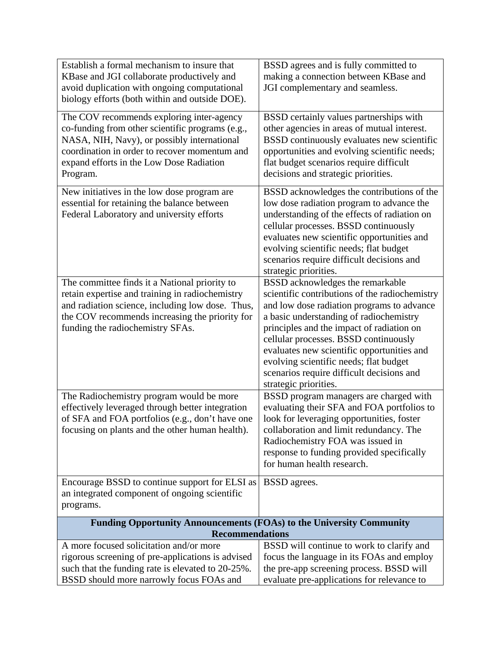| Establish a formal mechanism to insure that                                 | BSSD agrees and is fully committed to          |  |
|-----------------------------------------------------------------------------|------------------------------------------------|--|
| KBase and JGI collaborate productively and                                  | making a connection between KBase and          |  |
| avoid duplication with ongoing computational                                | JGI complementary and seamless.                |  |
| biology efforts (both within and outside DOE).                              |                                                |  |
|                                                                             |                                                |  |
| The COV recommends exploring inter-agency                                   | BSSD certainly values partnerships with        |  |
| co-funding from other scientific programs (e.g.,                            | other agencies in areas of mutual interest.    |  |
| NASA, NIH, Navy), or possibly international                                 | BSSD continuously evaluates new scientific     |  |
| coordination in order to recover momentum and                               | opportunities and evolving scientific needs;   |  |
| expand efforts in the Low Dose Radiation                                    | flat budget scenarios require difficult        |  |
| Program.                                                                    | decisions and strategic priorities.            |  |
|                                                                             |                                                |  |
| New initiatives in the low dose program are                                 | BSSD acknowledges the contributions of the     |  |
| essential for retaining the balance between                                 | low dose radiation program to advance the      |  |
| Federal Laboratory and university efforts                                   | understanding of the effects of radiation on   |  |
|                                                                             | cellular processes. BSSD continuously          |  |
|                                                                             | evaluates new scientific opportunities and     |  |
|                                                                             | evolving scientific needs; flat budget         |  |
|                                                                             | scenarios require difficult decisions and      |  |
|                                                                             | strategic priorities.                          |  |
| The committee finds it a National priority to                               | BSSD acknowledges the remarkable               |  |
| retain expertise and training in radiochemistry                             | scientific contributions of the radiochemistry |  |
| and radiation science, including low dose. Thus,                            | and low dose radiation programs to advance     |  |
| the COV recommends increasing the priority for                              | a basic understanding of radiochemistry        |  |
| funding the radiochemistry SFAs.                                            | principles and the impact of radiation on      |  |
|                                                                             | cellular processes. BSSD continuously          |  |
|                                                                             |                                                |  |
|                                                                             | evaluates new scientific opportunities and     |  |
|                                                                             | evolving scientific needs; flat budget         |  |
|                                                                             | scenarios require difficult decisions and      |  |
|                                                                             | strategic priorities.                          |  |
| The Radiochemistry program would be more                                    | BSSD program managers are charged with         |  |
| effectively leveraged through better integration                            | evaluating their SFA and FOA portfolios to     |  |
| of SFA and FOA portfolios (e.g., don't have one                             | look for leveraging opportunities, foster      |  |
| focusing on plants and the other human health).                             | collaboration and limit redundancy. The        |  |
|                                                                             | Radiochemistry FOA was issued in               |  |
|                                                                             | response to funding provided specifically      |  |
|                                                                             | for human health research.                     |  |
| Encourage BSSD to continue support for ELSI as                              | BSSD agrees.                                   |  |
| an integrated component of ongoing scientific                               |                                                |  |
| programs.                                                                   |                                                |  |
|                                                                             |                                                |  |
| <b>Funding Opportunity Announcements (FOAs) to the University Community</b> |                                                |  |
| <b>Recommendations</b>                                                      |                                                |  |
| A more focused solicitation and/or more                                     | BSSD will continue to work to clarify and      |  |
| rigorous screening of pre-applications is advised                           | focus the language in its FOAs and employ      |  |
| such that the funding rate is elevated to 20-25%.                           | the pre-app screening process. BSSD will       |  |
| BSSD should more narrowly focus FOAs and                                    | evaluate pre-applications for relevance to     |  |